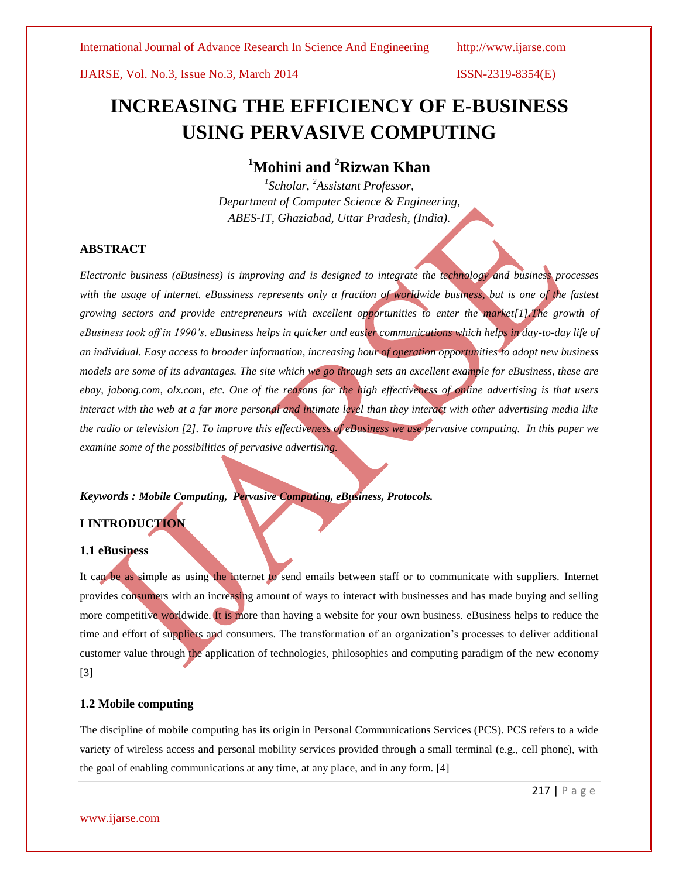IJARSE, Vol. No.3, Issue No.3, March 2014 ISSN-2319-8354(E)

# **INCREASING THE EFFICIENCY OF E-BUSINESS USING PERVASIVE COMPUTING**

## **<sup>1</sup>Mohini and <sup>2</sup>Rizwan Khan**

*1 Scholar, <sup>2</sup>Assistant Professor, Department of Computer Science & Engineering, ABES-IT, Ghaziabad, Uttar Pradesh, (India).*

### **ABSTRACT**

*Electronic business (eBusiness) is improving and is designed to integrate the technology and business processes with the usage of internet. eBussiness represents only a fraction of worldwide business, but is one of the fastest growing sectors and provide entrepreneurs with excellent opportunities to enter the market[1].The growth of eBusiness took off in 1990's. eBusiness helps in quicker and easier communications which helps in day-to-day life of an individual. Easy access to broader information, increasing hour of operation opportunities to adopt new business models are some of its advantages. The site which we go through sets an excellent example for eBusiness, these are ebay, jabong.com, olx.com, etc. One of the reasons for the high effectiveness of online advertising is that users interact with the web at a far more personal and intimate level than they interact with other advertising media like the radio or television [2]. To improve this effectiveness of eBusiness we use pervasive computing. In this paper we examine some of the possibilities of pervasive advertising.*

### *Keywords : Mobile Computing, Pervasive Computing, eBusiness, Protocols.*

#### **I INTRODUCTION**

#### **1.1 eBusiness**

It can be as simple as using the internet to send emails between staff or to communicate with suppliers. Internet provides consumers with an increasing amount of ways to interact with businesses and has made buying and selling more competitive worldwide. It is more than having a website for your own business. eBusiness helps to reduce the time and effort of suppliers and consumers. The transformation of an organization's processes to deliver additional customer value through the application of technologies, philosophies and computing paradigm of the new economy [3]

#### **1.2 Mobile computing**

The discipline of mobile computing has its origin in Personal Communications Services (PCS). PCS refers to a wide variety of wireless access and personal mobility services provided through a small terminal (e.g., cell phone), with the goal of enabling communications at any time, at any place, and in any form. [4]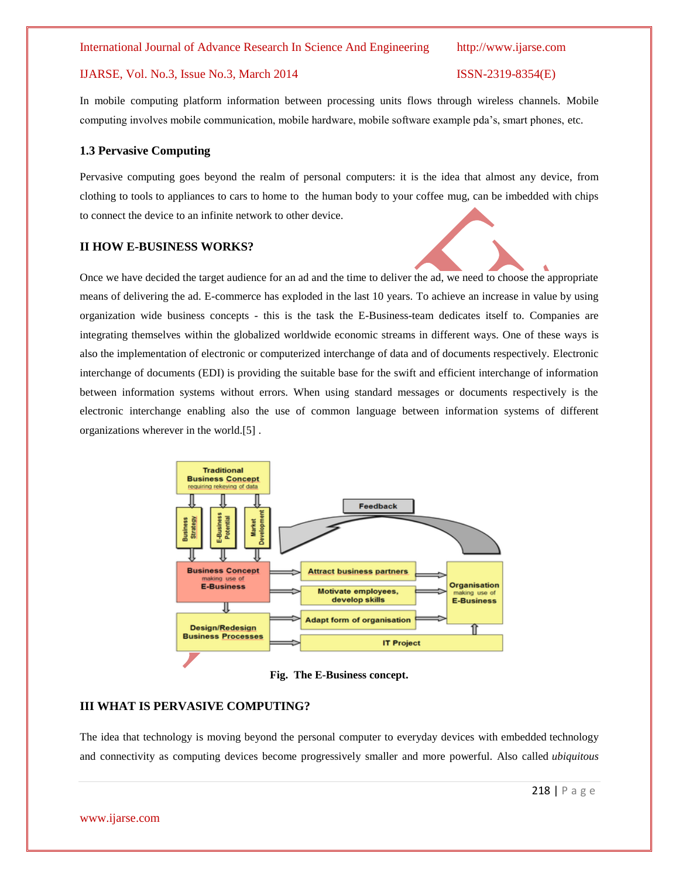#### International Journal of Advance Research In Science And Engineering http://www.ijarse.com

### IJARSE, Vol. No.3, Issue No.3, March 2014 ISSN-2319-8354(E)

In mobile computing platform information between processing units flows through wireless channels. Mobile computing involves mobile communication, mobile hardware, mobile software example pda's, smart phones, etc.

#### **1.3 Pervasive Computing**

Pervasive computing goes beyond the realm of personal computers: it is the idea that almost any device, from clothing to tools to appliances to cars to home to the human body to your coffee mug, can be imbedded with chips to connect the device to an infinite network to other device.

#### **II HOW E-BUSINESS WORKS?**

Once we have decided the target audience for an ad and the time to deliver the ad, we need to choose the appropriate means of delivering the ad. E-commerce has exploded in the last 10 years. To achieve an increase in value by using organization wide business concepts - this is the task the E-Business-team dedicates itself to. Companies are integrating themselves within the globalized worldwide economic streams in different ways. One of these ways is also the implementation of electronic or computerized interchange of data and of documents respectively. Electronic interchange of documents [\(EDI\)](http://www.panteongroup.si/en/electronic-business-operations.aspx) is providing the suitable base for the swift and efficient interchange of information between information systems without errors. When using standard messages or documents respectively is the electronic interchange enabling also the use of common language between information systems of different organizations wherever in the world.[5] .



**Fig. The E-Business concept.**

### **III WHAT IS PERVASIVE COMPUTING?**

The idea that technology is moving beyond the personal computer to everyday devices with [embedded](http://www.webopedia.com/TERM/E/embedded_system.html) technology and connectivity as computing devices become progressively smaller and more powerful. Also called *ubiquitous*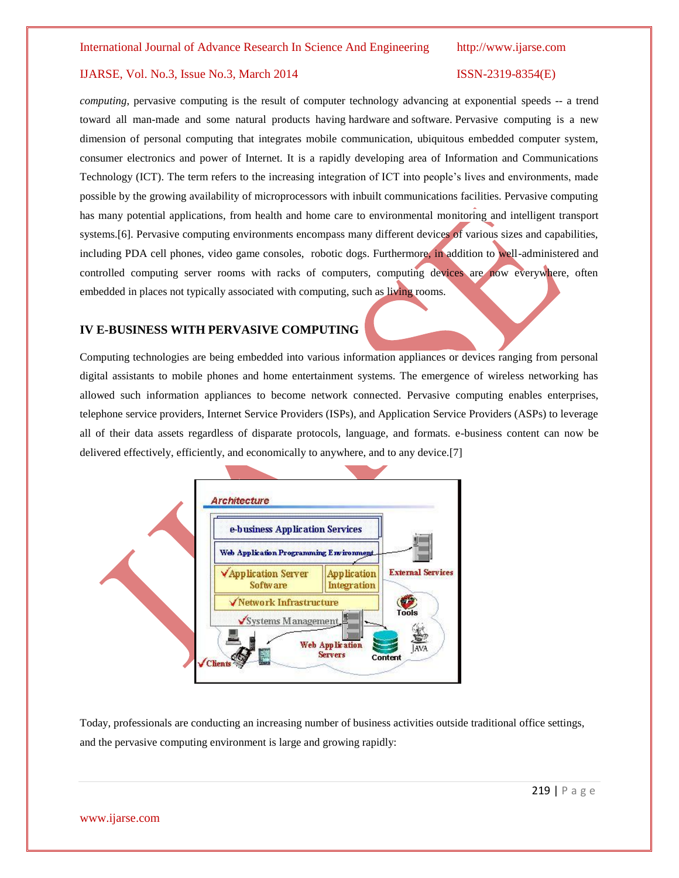### IJARSE, Vol. No.3, Issue No.3, March 2014 ISSN-2319-8354(E)

*computing*, pervasive computing is the result of computer technology advancing at exponential speeds -- a trend toward all man-made and some natural products having [hardware](http://www.webopedia.com/TERM/H/hardware.html) and [software.](http://www.webopedia.com/TERM/S/software.html) Pervasive computing is a new dimension of personal computing that integrates mobile communication, ubiquitous embedded computer system, consumer electronics and power of Internet. It is a rapidly developing area of Information and Communications Technology (ICT). The term refers to the increasing integration of ICT into people's lives and environments, made possible by the growing availability of microprocessors with inbuilt communications facilities. Pervasive computing has many potential applications, from health and home care to environmental monitoring and intelligent transport systems. [6]. Pervasive computing environments encompass many different devices of various sizes and capabilities, including PDA cell phones, video game consoles, robotic dogs. Furthermore, in addition to well-administered and controlled computing server rooms with racks of computers, computing devices are now everywhere, often embedded in places not typically associated with computing, such as living rooms.

### **IV E-BUSINESS WITH PERVASIVE COMPUTING**

Computing technologies are being embedded into various information appliances or devices ranging from personal digital assistants to mobile phones and home entertainment systems. The emergence of wireless networking has allowed such information appliances to become network connected. Pervasive computing enables enterprises, telephone service providers, Internet Service Providers (ISPs), and Application Service Providers (ASPs) to leverage all of their data assets regardless of disparate protocols, language, and formats. e-business content can now be delivered effectively, efficiently, and economically to anywhere, and to any device.[7]



Today, professionals are conducting an increasing number of business activities outside traditional office settings, and the pervasive computing environment is large and growing rapidly: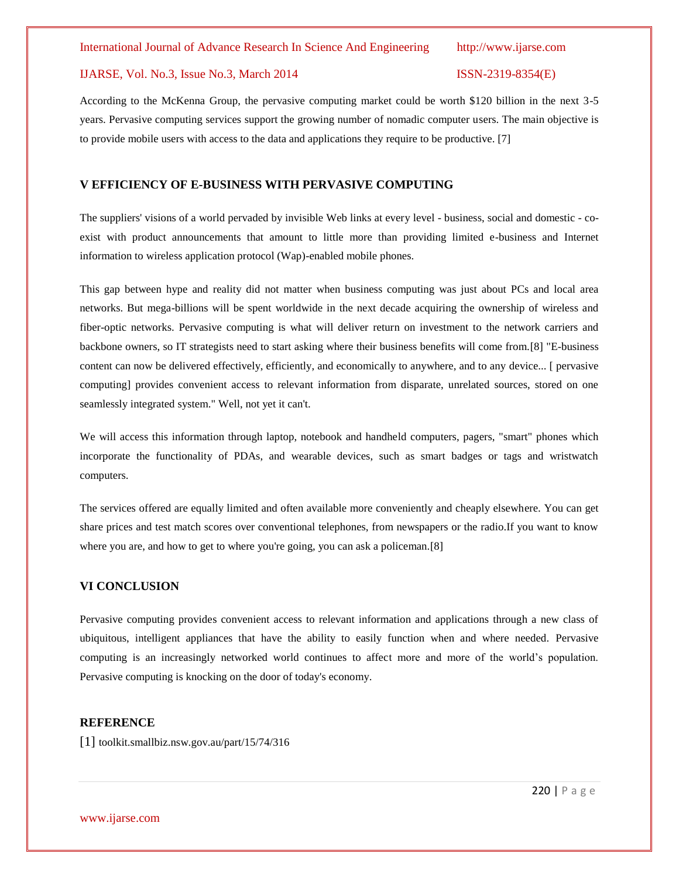#### International Journal of Advance Research In Science And Engineering http://www.ijarse.com

#### IJARSE, Vol. No.3, Issue No.3, March 2014 ISSN-2319-8354(E)

According to the McKenna Group, the pervasive computing market could be worth \$120 billion in the next 3-5 years. Pervasive computing services support the growing number of nomadic computer users. The main objective is to provide mobile users with access to the data and applications they require to be productive. [7]

#### **V EFFICIENCY OF E-BUSINESS WITH PERVASIVE COMPUTING**

The suppliers' visions of a world pervaded by invisible Web links at every level - business, social and domestic - coexist with product announcements that amount to little more than providing limited e-business and Internet information to wireless application protocol (Wap)-enabled mobile phones.

This gap between hype and reality did not matter when business computing was just about PCs and local area networks. But mega-billions will be spent worldwide in the next decade acquiring the ownership of wireless and fiber-optic networks. Pervasive computing is what will deliver return on investment to the network carriers and backbone owners, so IT strategists need to start asking where their business benefits will come from.[8] "E-business content can now be delivered effectively, efficiently, and economically to anywhere, and to any device... [ pervasive computing] provides convenient access to relevant information from disparate, unrelated sources, stored on one seamlessly integrated system." Well, not yet it can't.

We will access this information through laptop, notebook and handheld computers, pagers, "smart" phones which incorporate the functionality of PDAs, and wearable devices, such as smart badges or tags and wristwatch computers.

The services offered are equally limited and often available more conveniently and cheaply elsewhere. You can get share prices and test match scores over conventional telephones, from newspapers or the radio.If you want to know where you are, and how to get to where you're going, you can ask a policeman.[8]

### **VI CONCLUSION**

Pervasive computing provides convenient access to relevant information and applications through a new class of ubiquitous, intelligent appliances that have the ability to easily function when and where needed. Pervasive computing is an increasingly networked world continues to affect more and more of the world's population. Pervasive computing is knocking on the door of today's economy.

#### **REFERENCE**

[1] toolkit.smallbiz.nsw.gov.au/part/15/74/316